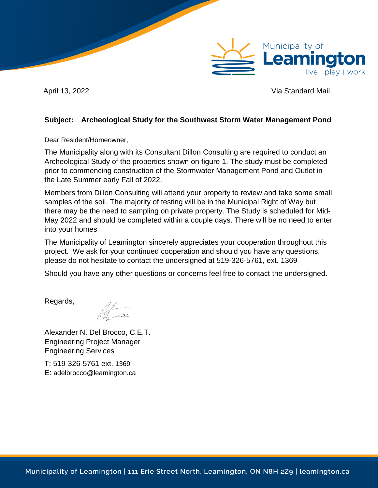

April 13, 2022 **Via Standard Mail** 

## <span id="page-0-0"></span>**Subject: Archeological Study for the Southwest Storm Water Management Pond**

Dear Resident/Homeowner,

The Municipality along with its Consultant Dillon Consulting are required to conduct an Archeological Study of the properties shown on figure 1. The study must be completed prior to commencing construction of the Stormwater Management Pond and Outlet in the Late Summer early Fall of 2022.

Members from Dillon Consulting will attend your property to review and take some small samples of the soil. The majority of testing will be in the Municipal Right of Way but there may be the need to sampling on private property. The Study is scheduled for Mid-May 2022 and should be completed within a couple days. There will be no need to enter into your homes

The Municipality of Leamington sincerely appreciates your cooperation throughout this project. We ask for your continued cooperation and should you have any questions, please do not hesitate to contact the undersigned at 519-326-5761, ext. 1369

Should you have any other questions or concerns feel free to contact the undersigned.

Regards,

let -

Alexander N. Del Brocco, C.E.T. Engineering Project Manager Engineering Services

T: 519-326-5761 ext. 1369 E: adelbrocco@leamington.ca